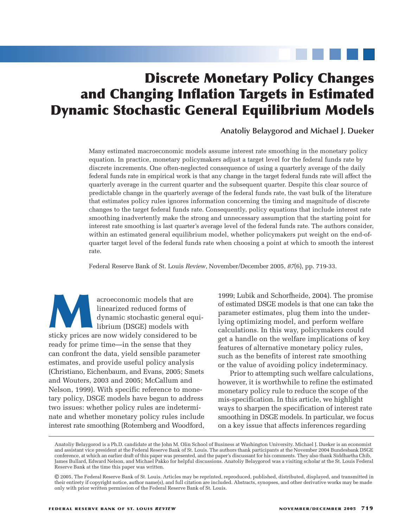# **Discrete Monetary Policy Changes and Changing Inflation Targets in Estimated Dynamic Stochastic General Equilibrium Models**

**Anatoliy Belaygorod and Michael J. Dueker**

Many estimated macroeconomic models assume interest rate smoothing in the monetary policy equation. In practice, monetary policymakers adjust a target level for the federal funds rate by discrete increments. One often-neglected consequence of using a quarterly average of the daily federal funds rate in empirical work is that any change in the target federal funds rate will affect the quarterly average in the current quarter and the subsequent quarter. Despite this clear source of predictable change in the quarterly average of the federal funds rate, the vast bulk of the literature that estimates policy rules ignores information concerning the timing and magnitude of discrete changes to the target federal funds rate. Consequently, policy equations that include interest rate smoothing inadvertently make the strong and unnecessary assumption that the starting point for interest rate smoothing is last quarter's average level of the federal funds rate. The authors consider, within an estimated general equilibrium model, whether policymakers put weight on the end-ofquarter target level of the federal funds rate when choosing a point at which to smooth the interest rate.

Federal Reserve Bank of St. Louis *Review*, November/December 2005, *87*(6), pp. 719-33.

acroeconomic models that are<br>
linearized reduced forms of<br>
dynamic stochastic general equ<br>
librium (DSGE) models with<br>
sticky prices are now widely considered to be linearized reduced forms of dynamic stochastic general equilibrium (DSGE) models with ready for prime time—in the sense that they can confront the data, yield sensible parameter estimates, and provide useful policy analysis (Christiano, Eichenbaum, and Evans, 2005; Smets and Wouters, 2003 and 2005; McCallum and Nelson, 1999). With specific reference to monetary policy, DSGE models have begun to address two issues: whether policy rules are indeterminate and whether monetary policy rules include interest rate smoothing (Rotemberg and Woodford, 1999; Lubik and Schorfheide, 2004). The promise of estimated DSGE models is that one can take the parameter estimates, plug them into the underlying optimizing model, and perform welfare calculations. In this way, policymakers could get a handle on the welfare implications of key features of alternative monetary policy rules, such as the benefits of interest rate smoothing or the value of avoiding policy indeterminacy.

Prior to attempting such welfare calculations, however, it is worthwhile to refine the estimated monetary policy rule to reduce the scope of the mis-specification. In this article, we highlight ways to sharpen the specification of interest rate smoothing in DSGE models. In particular, we focus on a key issue that affects inferences regarding

Anatoliy Belaygorod is a Ph.D. candidate at the John M. Olin School of Business at Washington University. Michael J. Dueker is an economist and assistant vice president at the Federal Reserve Bank of St. Louis. The authors thank participants at the November 2004 Bundesbank DSGE conference, at which an earlier draft of this paper was presented, and the paper's discussant for his comments. They also thank Siddhartha Chib, James Bullard, Edward Nelson, and Michael Pakko for helpful discussions. Anatoliy Belaygorod was a visiting scholar at the St. Louis Federal Reserve Bank at the time this paper was written.

<sup>©</sup> 2005, The Federal Reserve Bank of St. Louis. Articles may be reprinted, reproduced, published, distributed, displayed, and transmitted in their entirety if copyright notice, author name(s), and full citation are included. Abstracts, synopses, and other derivative works may be made only with prior written permission of the Federal Reserve Bank of St. Louis.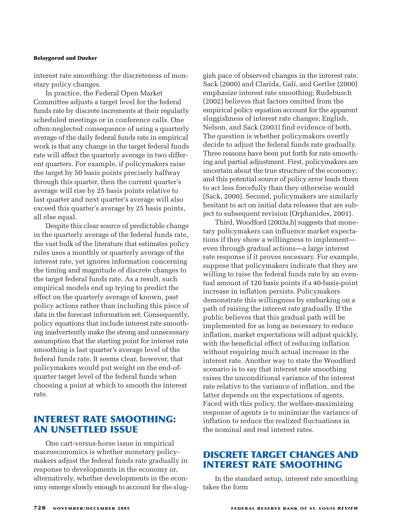interest rate smoothing: the discreteness of monetary policy changes.

In practice, the Federal Open Market Committee adjusts a target level for the federal funds rate by discrete increments at their regularly scheduled meetings or in conference calls. One often-neglected consequence of using a quarterly average of the daily federal funds rate in empirical work is that any change in the target federal funds rate will affect the quarterly average in two different quarters. For example, if policymakers raise the target by 50 basis points precisely halfway through this quarter, then the current quarter's average will rise by 25 basis points relative to last quarter and next quarter's average will also exceed this quarter's average by 25 basis points, all else equal.

Despite this clear source of predictable change in the quarterly average of the federal funds rate, the vast bulk of the literature that estimates policy rules uses a monthly or quarterly average of the interest rate, yet ignores information concerning the timing and magnitude of discrete changes to the target federal funds rate. As a result, such empirical models end up trying to predict the effect on the quarterly average of known, past policy actions rather than including this piece of data in the forecast information set. Consequently, policy equations that include interest rate smoothing inadvertently make the strong and unnecessary assumption that the starting point for interest rate smoothing is last quarter's average level of the federal funds rate. It seems clear, however, that policymakers would put weight on the end-ofquarter target level of the federal funds when choosing a point at which to smooth the interest rate.

# **INTEREST RATE SMOOTHING: AN UNSETTLED ISSUE**

One cart-versus-horse issue in empirical macroeconomics is whether monetary policymakers adjust the federal funds rate gradually in response to developments in the economy or, alternatively, whether developments in the economy emerge slowly enough to account for the sluggish pace of observed changes in the interest rate. Sack (2000) and Clarida, Galí, and Gertler (2000) emphasize interest rate smoothing; Rudebusch (2002) believes that factors omitted from the empirical policy equation account for the apparent sluggishness of interest rate changes; English, Nelson, and Sack (2003) find evidence of both. The question is whether policymakers overtly decide to adjust the federal funds rate gradually. Three reasons have been put forth for rate smoothing and partial adjustment. First, policymakers are uncertain about the true structure of the economy; and this potential source of policy error leads them to act less forcefully than they otherwise would (Sack, 2000). Second, policymakers are similarly hesitant to act on initial data releases that are subject to subsequent revision (Orphanides, 2001).

Third, Woodford (2003a,b) suggests that monetary policymakers can influence market expectations if they show a willingness to implement even through gradual actions—a large interest rate response if it proves necessary. For example, suppose that policymakers indicate that they are willing to raise the federal funds rate by an eventual amount of 120 basis points if a 40-basis-point increase in inflation persists. Policymakers demonstrate this willingness by embarking on a path of raising the interest rate gradually. If the public believes that this gradual path will be implemented for as long as necessary to reduce inflation, market expectations will adjust quickly, with the beneficial effect of reducing inflation without requiring much actual increase in the interest rate. Another way to state the Woodford scenario is to say that interest rate smoothing raises the unconditional variance of the interest rate relative to the variance of inflation, and the latter depends on the expectations of agents. Faced with this policy, the welfare-maximizing response of agents is to minimize the variance of inflation to reduce the realized fluctuations in the nominal and real interest rates.

# **DISCRETE TARGET CHANGES AND INTEREST RATE SMOOTHING**

In the standard setup, interest rate smoothing takes the form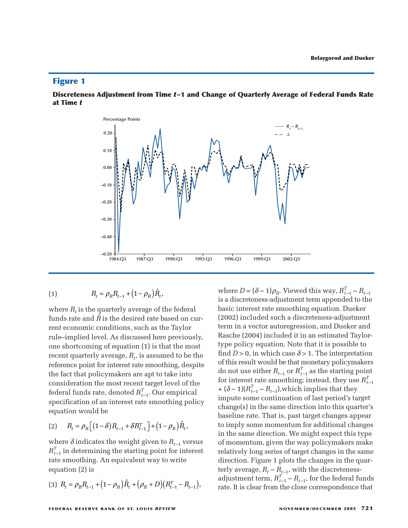#### **Discreteness Adjustment from Time** *t***–1 and Change of Quarterly Average of Federal Funds Rate at Time** *t*



(1) 
$$
R_t = \rho_R R_{t-1} + (1 - \rho_R) \hat{R}_t,
$$

where  $R_t$  is the quarterly average of the federal funds rate and  $\hat{R}$  is the desired rate based on current economic conditions, such as the Taylor rule–implied level. As discussed here previously, one shortcoming of equation (1) is that the most  $\mathbf{r}$  recent quarterly average,  $R_t$ , is assumed to be the reference point for interest rate smoothing, despite the fact that policymakers are apt to take into consideration the most recent target level of the federal funds rate, denoted  $R_{t-1}^T$ . Our empirical specification of an interest rate smoothing policy equation would be (3) *R<sub>t</sub>* = *P<sub>R</sub> R<sub>t</sub>*, is assumed to be the reference point for interest rate smoothing, despite the fact that policymakers are apt to take into consideration the most recent target level of the federal funds rate, d *R R t* is the quarterly average of the tedd<br>rate and  $\hat{R}$  is the desired rate based of<br>conomic conditions, such as the Tayl<br>mplied level. As discussed here previa<br>nortcoming of equation (1) is that the<br>t quarterly s the quarterly average of the fed<br>and  $\hat{R}$  is the desired rate based c<br>omic conditions, such as the Tay<br>ied level. As discussed here previ<br>coming of equation (1) is that the<br>rterly average,  $R_t$ , is assumed to<br>ooint

$$
(2) \qquad R_t = \rho_R \Big[ \big(1 - \delta\big) R_{t-1} + \delta R_{t-1}^T \Big] + \big(1 - \rho_R\big) \hat{R}_t,
$$

where  $\delta$  indicates the weight given to  $R_{t-1}$  versus  $R_{t-1}^T$  in determining the starting point for interest rate smoothing. An equivalent way to write equation (2) is

$$
(3) \ \ R_t = \rho_R R_{t-1} + (1 - \rho_R) \hat{R}_t + (\rho_R + D) (R_{t-1}^T - R_{t-1}),
$$

where  $D = (\delta - 1)\rho_R$ . Viewed this way,  $R_{t-1}^T - R_{t-1}$ is a discreteness-adjustment term appended to the basic interest rate smoothing equation. Dueker (2002) included such a discreteness-adjustment term in a vector autoregression, and Dueker and Rasche (2004) included it in an estimated Taylortype policy equation. Note that it is possible to find  $D > 0$ , in which case  $\delta > 1$ . The interpretation of this result would be that monetary policymakers do not use either  $R_{t-1}$  or  $R_{t-1}^T$  as the starting point for interest rate smoothing; instead, they use  $R_{t-1}^T$  $+(\delta - 1)(R_{t-1}^T - R_{t-1})$ , which implies that they impute some continuation of last period's target change(s) in the same direction into this quarter's baseline rate. That is, past target changes appear to imply some momentum for additional changes in the same direction. We might expect this type of momentum, given the way policymakers make relatively long series of target changes in the same direction. Figure 1 plots the changes in the quarterly average,  $R_t - R_{t-1}$ , with the discretenessadjustment term,  $R_{t-1}^T - R_{t-1}$ , for the federal funds rate. It is clear from the close correspondence that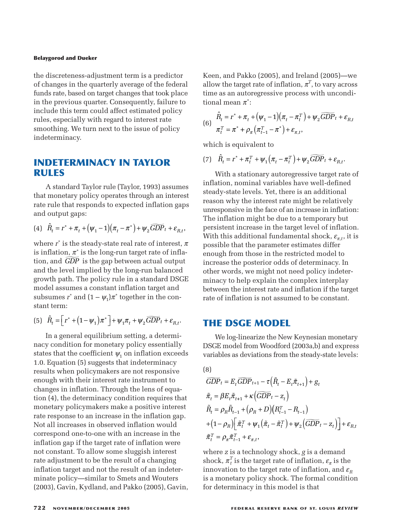the discreteness-adjustment term is a predictor of changes in the quarterly average of the federal funds rate, based on target changes that took place in the previous quarter. Consequently, failure to include this term could affect estimated policy rules, especially with regard to interest rate smoothing. We turn next to the issue of policy indeterminacy. *R* rate, based on target changes that took place previous quarter. Consequently, failure to the issue of policy s, especially with regard to interest rate othing. We turn next to the issue of policy terminacy.<br> **DETERMIN** 

# **INDETERMINACY IN TAYLOR RULES**

A standard Taylor rule (Taylor, 1993) assumes that monetary policy operates through an interest rate rule that responds to expected inflation gaps and output gaps:

(4) 
$$
\hat{R}_t = r^* + \pi_t + (\psi_1 - 1)(\pi_t - \pi^*) + \psi_2 \widetilde{GDP}_t + \varepsilon_{R,t}
$$

where  $r^*$  is the steady-state real rate of interest,  $\pi$ is inflation,  $\pi^*$  is the long-run target rate of inflation, and *GDP* is the gap between actual output and the level implied by the long-run balanced growth path. The policy rule in a standard DSGE model assumes a constant inflation target and subsumes  $r^*$  and  $(1 - \psi_1)\pi^*$  together in the constant term: *R* standard Taylor rule (Taylor, 1995) assummonetary policy operates through an intervale that responds to expected inflation g output gaps:<br>  $\hat{R}_t = r^* + \pi_t + (\psi_1 - 1)(\pi_t - \pi^*) + \psi_2 \widetilde{GDP}_t + \varepsilon_t$ <br>
re  $r^*$  is the steadypolicy operates through an int<br>esponds to expected inflation<br>os:<br> $\frac{1}{2} + (\psi_1 - 1)(\pi_t - \pi^*) + \psi_2 \widetilde{GDP}_t +$ <br>steady-state real rate of intere<br>is the long-run target rate of it<br>is the gap between actual out<br>mplied by the lon

$$
(5) \quad \hat{R}_t = \left[ r^* + \left( 1 - \psi_1 \right) \pi^* \right] + \psi_1 \pi_t + \psi_2 \widetilde{GDP}_t + \varepsilon_{R,t}.
$$

In a general equilibrium setting, a determinacy condition for monetary policy essentially states that the coefficient  $\psi_1$  on inflation exceeds 1.0. Equation (5) suggests that indeterminacy results when policymakers are not responsive enough with their interest rate instrument to changes in inflation. Through the lens of equation (4), the determinacy condition requires that monetary policymakers make a positive interest rate response to an increase in the inflation gap. Not all increases in observed inflation would correspond one-to-one with an increase in the inflation gap if the target rate of inflation were not constant. To allow some sluggish interest rate adjustment to be the result of a changing inflation target and not the result of an indeterminate policy—similar to Smets and Wouters (2003), Gavin, Kydland, and Pakko (2005), Gavin,

Keen, and Pakko (2005), and Ireland (2005)—we allow the target rate of inflation,  $\pi^T$ , to vary across time as an autoregressive process with unconditional mean  $\pi^*$ : *R*, and Pakko (2005), and Ireland (2005)-<br> *R* r the target rate of inflation,  $\pi^T$ , to vary at<br>
as an autoregressive process with unco<br>  $R_t = r^* + \pi_t + (\psi_1 - 1)(\pi_t - \pi_t^T) + \psi_2 GDP_t +$ <br>  $\pi_t^T = \pi^* + \rho_\pi (\pi_{t-1}^T - \pi^*) + \varepsilon_{\pi,t$ *R* and Pakko (2005), and Ireland (2005)—v<br> *R* the target rate of inflation,  $\pi^T$ , to vary acro<br> *R* as an autoregressive process with uncond<br> *R*  $F_t = r^* + \pi_t + (\psi_1 - 1)(\pi_t - \pi_t^T) + \psi_2 \widetilde{GDP}_t + \varepsilon_R$ and Pakko (2005), and Ireland (2005)-<br>
he target rate of inflation,  $\pi^T$ , to vary as<br>
s an autoregressive process with unco<br>
mean  $\pi^*$ :<br>
=  $r^* + \pi_t + (\psi_1 - 1)(\pi_t - \pi_t^T) + \psi_2 \widetilde{GDP}_t +$ <br>
=  $\pi^* + \rho_\pi (\pi_{t-1}^T - \pi^*) + \varepsilon_{\$ hkko (2005), and Ireland (2005)—<br>get rate of inflation,  $\pi^T$ , to vary acreatoregressive process with uncon-<br> $\pi^*$ :<br> $\pi_t + (\psi_1 - 1)(\pi_t - \pi_t^T) + \psi_2 \widetilde{GDP}_t + \varepsilon$ <br> $-\rho_{\pi} (\pi_{t-1}^T - \pi^*) + \varepsilon_{\pi,t}$ , m, and<br>
w the t<br>
e as an<br>
al mea<br>  $\hat{R}_t = r^*$ <br>
π<sup>T</sup> = π<br>
ch is e<br>  $\hat{R}_t = r^*$ akko (2005), and 1<br>rget rate of inflation<br>utoregressive prood<br> $\pi^*$ :<br> $-\pi_t + (\psi_1 - 1)(\pi_t - \pi + \rho_\pi (\pi_{t-1}^T - \pi^*) + \varepsilon_\pi)$ <br>uivalent to

(6) 
$$
\hat{R}_t = r^* + \pi_t + (\psi_1 - 1)(\pi_t - \pi_t^T) + \psi_2 \widetilde{GDP}_t + \varepsilon_{R,t}
$$

$$
\pi_t^T = \pi^* + \rho_\pi (\pi_{t-1}^T - \pi^*) + \varepsilon_{\pi,t},
$$

which is equivalent to

(7)  $\hat{R}_t = r^* + \pi_t^T + \psi_1(\pi_t - \pi_t^T) + \psi_2 \widetilde{GDP}_t + \varepsilon_{B,t}$ 

With a stationary autoregressive target rate of inflation, nominal variables have well-defined steady-state levels. Yet, there is an additional reason why the interest rate might be relatively unresponsive in the face of an increase in inflation: The inflation might be due to a temporary but persistent increase in the target level of inflation. With this additional fundamental shock,  $\varepsilon_{\pi,t}$ , it is possible that the parameter estimates differ enough from those in the restricted model to increase the posterior odds of determinacy. In other words, we might not need policy indeterminacy to help explain the complex interplay between the interest rate and inflation if the target rate of inflation is not assumed to be constant. With this additional fundamental shoossible that the parameter estimate<br>mough from those in the restricted increase the posterior odds of detern<br>ther words, we might not need poli<br>ninacy to help explain the complex<br>etween *tter estimates sheeter estimates*<br> *teter estimates*<br> *tds of determ*<br> *the complex*<br> *e and inflatior*<br> *ssumed to be*<br> **PEL**<br>
New Keynesis<br> *ford (2003a,b)*<br> *tom the steady*<br> *keynesis*<br> *keynesis tough from the crease ther word*<br>*ther word tween the of inflation in the of inflation*<br>**HE DS**<br>*We logs*<br>*termalles as*  $\overline{t}$ *<br><i>t* =  $\beta E_t \tilde{\pi}_t$ 

## **THE DSGE MODEL**

We log-linearize the New Keynesian monetary DSGE model from Woodford (2003a,b) and express variables as deviations from the steady-state levels:

(8) *E* ² ² % % % % = −− ( ) + = + + 1 1 τ π π βπ + − −− + − ( ) = ++ ( ) − 1 1 11 κ ρ ρ *GDPz R R DR R t Rt R tT* ² % % ( ) + − ( ) + − ( ) + − ( ) 1 1 2 ρ π ψπ π ψ *R tT t t* % %%*T GDPz* ² + = + − ε π ρπ ε π π *R t* % % *T T* 1

where *z* is a technology shock, *g* is a demand shock,  $\pi_t^T$  is the target rate of inflation,  $\varepsilon_\pi$  is the innovation to the target rate of inflation, and  $\varepsilon_R$ is a monetary policy shock. The formal condition for determinacy in this model is that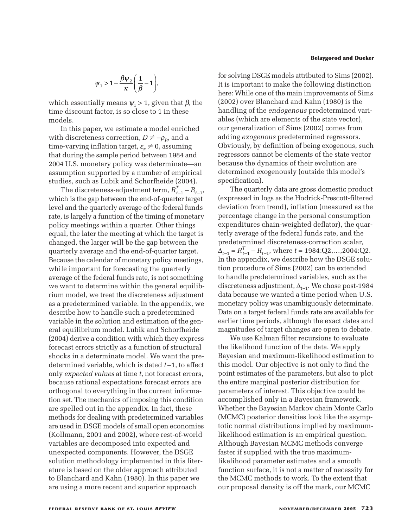$$
\psi_1 > 1 - \frac{\beta \psi_2}{\kappa} \left( \frac{1}{\beta} - 1 \right),
$$
ally means  $\psi_1 > 1$  gives

which essentially means  $\psi_1 > 1$ , given that  $\beta$ , the time discount factor, is so close to 1 in these models.

In this paper, we estimate a model enriched with discreteness correction,  $D \neq -\rho_R$ , and a time-varying inflation target,  $\varepsilon_{\pi} \neq 0$ , assuming that during the sample period between 1984 and 2004 U.S. monetary policy was determinate—an assumption supported by a number of empirical studies, such as Lubik and Schorfheide (2004).

The discreteness-adjustment term,  $R_{t-1}^T - R_{t-1}$ , which is the gap between the end-of-quarter target level and the quarterly average of the federal funds rate, is largely a function of the timing of monetary policy meetings within a quarter. Other things equal, the later the meeting at which the target is changed, the larger will be the gap between the quarterly average and the end-of-quarter target. Because the calendar of monetary policy meetings, while important for forecasting the quarterly average of the federal funds rate, is not something we want to determine within the general equilibrium model, we treat the discreteness adjustment as a predetermined variable. In the appendix, we describe how to handle such a predetermined variable in the solution and estimation of the general equilibrium model. Lubik and Schorfheide (2004) derive a condition with which they express forecast errors strictly as a function of structural shocks in a determinate model. We want the predetermined variable, which is dated *t* –1, to affect only *expected values* at time *t*, not forecast errors, because rational expectations forecast errors are orthogonal to everything in the current information set. The mechanics of imposing this condition are spelled out in the appendix. In fact, these methods for dealing with predetermined variables are used in DSGE models of small open economies (Kollmann, 2001 and 2002), where rest-of-world variables are decomposed into expected and unexpected components. However, the DSGE solution methodology implemented in this literature is based on the older approach attributed to Blanchard and Kahn (1980). In this paper we are using a more recent and superior approach

# for solving DSGE models attributed to Sims (2002). It is important to make the following distinction here: While one of the main improvements of Sims

**Belaygorod and Dueker**

(2002) over Blanchard and Kahn (1980) is the handling of the *endogenous* predetermined variables (which are elements of the state vector), our generalization of Sims (2002) comes from adding *exogenous* predetermined regressors. Obviously, by definition of being exogenous, such regressors cannot be elements of the state vector because the dynamics of their evolution are determined exogenously (outside this model's specification).

The quarterly data are gross domestic product (expressed in logs as the Hodrick-Prescott-filtered deviation from trend), inflation (measured as the percentage change in the personal consumption expenditures chain-weighted deflator), the quarterly average of the federal funds rate, and the predetermined discreteness-correction scalar,  $\Delta_{t-1} = R_{t-1}^T - R_{t-1}$ , where  $t = 1984$ :Q2,...,2004:Q2. In the appendix, we describe how the DSGE solution procedure of Sims (2002) can be extended to handle predetermined variables, such as the discreteness adjustment, ∆*t*–1. We chose post-1984 data because we wanted a time period when U.S. monetary policy was unambiguously determinate. Data on a target federal funds rate are available for earlier time periods, although the exact dates and magnitudes of target changes are open to debate.

We use Kalman filter recursions to evaluate the likelihood function of the data. We apply Bayesian and maximum-likelihood estimation to this model. Our objective is not only to find the point estimates of the parameters, but also to plot the entire marginal posterior distribution for parameters of interest. This objective could be accomplished only in a Bayesian framework. Whether the Bayesian Markov chain Monte Carlo (MCMC) posterior densities look like the asymptotic normal distributions implied by maximumlikelihood estimation is an empirical question. Although Bayesian MCMC methods converge faster if supplied with the true maximumlikelihood parameter estimates and a smooth function surface, it is not a matter of necessity for the MCMC methods to work. To the extent that our proposal density is off the mark, our MCMC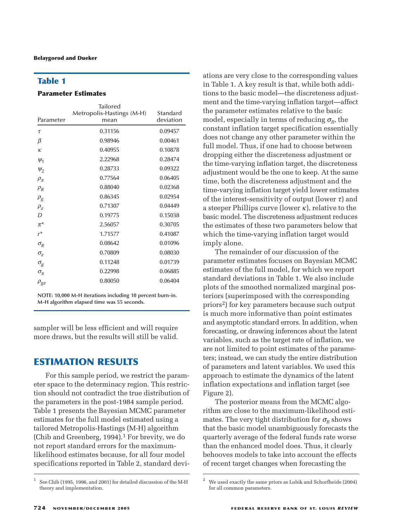## **Table 1**

#### **Parameter Estimates**

| Parameter                     | Tailored<br>Metropolis-Hastings (M-H)<br>mean | Standard<br>deviation |
|-------------------------------|-----------------------------------------------|-----------------------|
| τ                             | 0.31156                                       | 0.09457               |
| β                             | 0.98946                                       | 0.00461               |
| $\kappa$                      | 0.40955                                       | 0.10878               |
| $\Psi_1$                      | 2.22968                                       | 0.28474               |
| $\Psi_2$                      | 0.28733                                       | 0.09322               |
| $\rho_{\pi}$                  | 0.77564                                       | 0.06405               |
| $\rho_{\scriptscriptstyle R}$ | 0.88040                                       | 0.02368               |
| $\rho_{\text{g}}$             | 0.86345                                       | 0.02954               |
| $\rho_z$                      | 0.71307                                       | 0.04449               |
| D                             | 0.19775                                       | 0.15038               |
| $\pi^*$                       | 2.56057                                       | 0.30705               |
| $r^*$                         | 1.71577                                       | 0.41087               |
| $\sigma_{\!R}$                | 0.08642                                       | 0.01096               |
| $\sigma_{z}$                  | 0.70809                                       | 0.08030               |
| $\sigma_{\rm g}$              | 0.11248                                       | 0.01739               |
| $\sigma_{\pi}$                | 0.22998                                       | 0.06885               |
| $\rho_{\scriptstyle gz}$      | 0.80050                                       | 0.06404               |

**NOTE: 10,000 M-H iterations including 10 percent burn-in. M-H algorithm elapsed time was 55 seconds.**

sampler will be less efficient and will require more draws, but the results will still be valid.

## **ESTIMATION RESULTS**

For this sample period, we restrict the parameter space to the determinacy region. This restriction should not contradict the true distribution of the parameters in the post-1984 sample period. Table 1 presents the Bayesian MCMC parameter estimates for the full model estimated using a tailored Metropolis-Hastings (M-H) algorithm (Chib and Greenberg,  $1994$ ).<sup>1</sup> For brevity, we do not report standard errors for the maximumlikelihood estimates because, for all four model specifications reported in Table 2, standard deviations are very close to the corresponding values in Table 1. A key result is that, while both additions to the basic model—the discreteness adjustment and the time-varying inflation target—affect the parameter estimates relative to the basic model, especially in terms of reducing  $\sigma_R$ , the constant inflation target specification essentially does not change any other parameter within the full model. Thus, if one had to choose between dropping either the discreteness adjustment or the time-varying inflation target, the discreteness adjustment would be the one to keep. At the same time, both the discreteness adjustment and the time-varying inflation target yield lower estimates of the interest-sensitivity of output (lower  $\tau$ ) and a steeper Phillips curve (lower  $\kappa$ ), relative to the basic model. The discreteness adjustment reduces the estimates of these two parameters below that which the time-varying inflation target would imply alone.

The remainder of our discussion of the parameter estimates focuses on Bayesian MCMC estimates of the full model, for which we report standard deviations in Table 1. We also include plots of the smoothed normalized marginal posteriors (superimposed with the corresponding priors2) for key parameters because such output is much more informative than point estimates and asymptotic standard errors. In addition, when forecasting, or drawing inferences about the latent variables, such as the target rate of inflation, we are not limited to point estimates of the parameters; instead, we can study the entire distribution of parameters and latent variables. We used this approach to estimate the dynamics of the latent inflation expectations and inflation target (see Figure 2).

The posterior means from the MCMC algorithm are close to the maximum-likelihood estimates. The very tight distribution for  $\sigma_R$  shows that the basic model unambiguously forecasts the quarterly average of the federal funds rate worse than the enhanced model does. Thus, it clearly behooves models to take into account the effects of recent target changes when forecasting the

<sup>1</sup> See Chib (1995, 1996, and 2001) for detailed discussion of the M-H theory and implementation.

<sup>2</sup> We used exactly the same priors as Lubik and Schorfheide (2004) for all common parameters.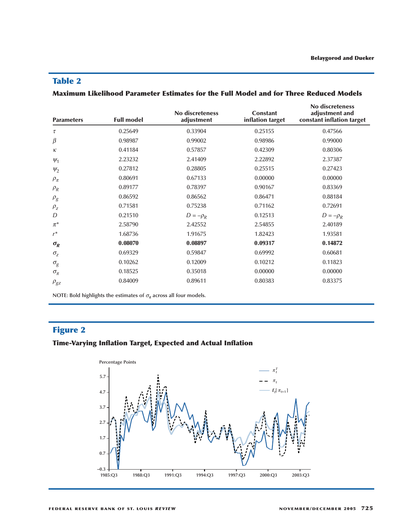# **Table 2**

| Maximum Likelihood Parameter Estimates for the Full Model and for Three Reduced Models |  |  |  |
|----------------------------------------------------------------------------------------|--|--|--|
|----------------------------------------------------------------------------------------|--|--|--|

| <b>Parameters</b> | <b>Full model</b> | No discreteness<br>adjustment | <b>Constant</b><br>inflation target | No discreteness<br>adjustment and<br>constant inflation target |
|-------------------|-------------------|-------------------------------|-------------------------------------|----------------------------------------------------------------|
| $\tau$            | 0.25649           | 0.33904                       | 0.25155                             | 0.47566                                                        |
| $\beta$           | 0.98987           | 0.99002                       | 0.98986                             | 0.99000                                                        |
| $\kappa$          | 0.41184           | 0.57857                       | 0.42309                             | 0.80306                                                        |
| $\Psi_1$          | 2.23232           | 2.41409                       | 2.22892                             | 2.37387                                                        |
| $\psi_2$          | 0.27812           | 0.28805                       | 0.25515                             | 0.27423                                                        |
| $\rho_{\pi}$      | 0.80691           | 0.67133                       | 0.00000                             | 0.00000                                                        |
| $\rho_R$          | 0.89177           | 0.78397                       | 0.90167                             | 0.83369                                                        |
| $\rho_g$          | 0.86592           | 0.86562                       | 0.86471                             | 0.88184                                                        |
| $\rho_{\rm z}$    | 0.71581           | 0.75238                       | 0.71162                             | 0.72691                                                        |
| D                 | 0.21510           | $D=-\rho_R$                   | 0.12513                             | $D = -\rho_R$                                                  |
| $\pi^*$           | 2.58790           | 2.42552                       | 2.54855                             | 2.40189                                                        |
| $r^*$             | 1.68736           | 1.91675                       | 1.82423                             | 1.93581                                                        |
| $\sigma_R$        | 0.08070           | 0.08897                       | 0.09317                             | 0.14872                                                        |
| $\sigma_{z}$      | 0.69329           | 0.59847                       | 0.69992                             | 0.60681                                                        |
| $\sigma_{\!g}$    | 0.10262           | 0.12009                       | 0.10212                             | 0.11823                                                        |
| $\sigma_{\pi}$    | 0.18525           | 0.35018                       | 0.00000                             | 0.00000                                                        |
| $\rho_{gz}$       | 0.84009           | 0.89611                       | 0.80383                             | 0.83375                                                        |

**NOTE:** Bold highlights the estimates of  $\sigma_R$  across all four models.

# **Figure 2**

# **Time-Varying Inflation Target, Expected and Actual Inflation**

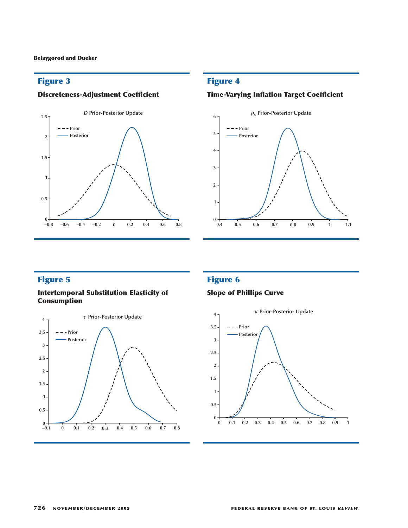## **Discreteness-Adjustment Coefficient**



## **Figure 4**

## **Time-Varying Inflation Target Coefficient**



# **Figure 5**

#### **Intertemporal Substitution Elasticity of Consumption**



# **Figure 6**

## **Slope of Phillips Curve**

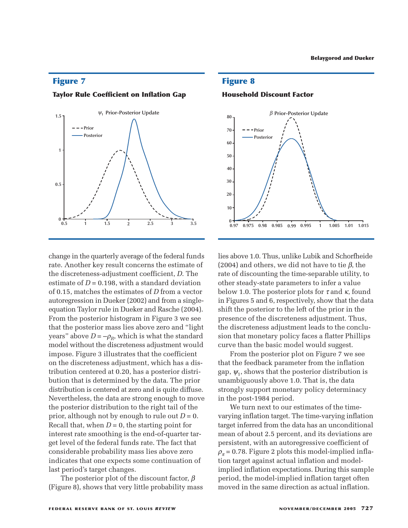#### **Taylor Rule Coefficient on Inflation Gap**



change in the quarterly average of the federal funds rate. Another key result concerns the estimate of the discreteness-adjustment coefficient, *D*. The estimate of  $D = 0.198$ , with a standard deviation of 0.15, matches the estimates of *D* from a vector autoregression in Dueker (2002) and from a singleequation Taylor rule in Dueker and Rasche (2004). From the posterior histogram in Figure 3 we see that the posterior mass lies above zero and "light years" above  $D = -\rho_R$ , which is what the standard model without the discreteness adjustment would impose. Figure 3 illustrates that the coefficient on the discreteness adjustment, which has a distribution centered at 0.20, has a posterior distribution that is determined by the data. The prior distribution is centered at zero and is quite diffuse. Nevertheless, the data are strong enough to move the posterior distribution to the right tail of the prior, although not by enough to rule out *D* = 0. Recall that, when  $D = 0$ , the starting point for interest rate smoothing is the end-of-quarter target level of the federal funds rate. The fact that considerable probability mass lies above zero indicates that one expects some continuation of last period's target changes.

The posterior plot of the discount factor,  $\beta$ (Figure 8), shows that very little probability mass

**Figure 8**

**Household Discount Factor**



lies above 1.0. Thus, unlike Lubik and Schorfheide (2004) and others, we did not have to tie  $\beta$ , the rate of discounting the time-separable utility, to other steady-state parameters to infer a value below 1.0. The posterior plots for  $\tau$  and  $\kappa$ , found in Figures 5 and 6, respectively, show that the data shift the posterior to the left of the prior in the presence of the discreteness adjustment. Thus, the discreteness adjustment leads to the conclusion that monetary policy faces a flatter Phillips curve than the basic model would suggest.

From the posterior plot on Figure 7 we see that the feedback parameter from the inflation gap,  $\psi_1$ , shows that the posterior distribution is unambiguously above 1.0. That is, the data strongly support monetary policy determinacy in the post-1984 period.

We turn next to our estimates of the timevarying inflation target. The time-varying inflation target inferred from the data has an unconditional mean of about 2.5 percent, and its deviations are persistent, with an autoregressive coefficient of  $\rho_{\pi}$  = 0.78. Figure 2 plots this model-implied inflation target against actual inflation and modelimplied inflation expectations. During this sample period, the model-implied inflation target often moved in the same direction as actual inflation.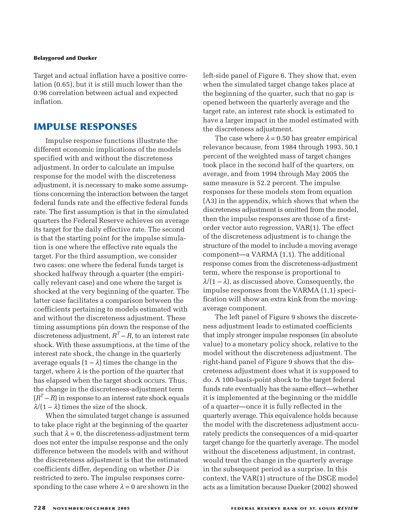Target and actual inflation have a positive correlation (0.65), but it is still much lower than the 0.96 correlation between actual and expected inflation.

# **IMPULSE RESPONSES**

Impulse response functions illustrate the different economic implications of the models specified with and without the discreteness adjustment. In order to calculate an impulse response for the model with the discreteness adjustment, it is necessary to make some assumptions concerning the interaction between the target federal funds rate and the effective federal funds rate. The first assumption is that in the simulated quarters the Federal Reserve achieves on average its target for the daily effective rate. The second is that the starting point for the impulse simulation is one where the effective rate equals the target. For the third assumption, we consider two cases: one where the federal funds target is shocked halfway through a quarter (the empirically relevant case) and one where the target is shocked at the very beginning of the quarter. The latter case facilitates a comparison between the coefficients pertaining to models estimated with and without the discreteness adjustment. These timing assumptions pin down the response of the discreteness adjustment,  $R<sup>T</sup> - R$ , to an interest rate shock. With these assumptions, at the time of the interest rate shock, the change in the quarterly average equals  $(1 - \lambda)$  times the change in the target, where  $\lambda$  is the portion of the quarter that has elapsed when the target shock occurs. Thus, the change in the discreteness-adjustment term  $(R<sup>T</sup> - R)$  in response to an interest rate shock equals  $\lambda$ /(1 –  $\lambda$ ) times the size of the shock.

When the simulated target change is assumed to take place right at the beginning of the quarter such that  $\lambda = 0$ , the discreteness-adjustment term does not enter the impulse response and the only difference between the models with and without the discreteness adjustment is that the estimated coefficients differ, depending on whether *D* is restricted to zero. The impulse responses corresponding to the case where  $\lambda = 0$  are shown in the left-side panel of Figure 6. They show that, even when the simulated target change takes place at the beginning of the quarter, such that no gap is opened between the quarterly average and the target rate, an interest rate shock is estimated to have a larger impact in the model estimated with the discreteness adjustment.

The case where  $\lambda = 0.50$  has greater empirical relevance because, from 1984 through 1993, 50.1 percent of the weighted mass of target changes took place in the second half of the quarters, on average, and from 1994 through May 2005 the same measure is 52.2 percent. The impulse responses for these models stem from equation (A3) in the appendix, which shows that when the discreteness adjustment is omitted from the model, then the impulse responses are those of a firstorder vector auto regression, VAR(1). The effect of the discreteness adjustment is to change the structure of the model to include a moving average component—a VARMA (1,1). The additional response comes from the discreteness-adjustment term, where the response is proportional to  $\lambda/(1 - \lambda)$ , as discussed above. Consequently, the impulse responses from the VARMA (1,1) specification will show an extra kink from the movingaverage component.

The left panel of Figure 9 shows the discreteness adjustment leads to estimated coefficients that imply stronger impulse responses (in absolute value) to a monetary policy shock, relative to the model without the discreteness adjustment. The right-hand panel of Figure 9 shows that the discreteness adjustment does what it is supposed to do. A 100-basis-point shock to the target federal funds rate eventually has the same effect—whether it is implemented at the beginning or the middle of a quarter—once it is fully reflected in the quarterly average. This equivalence holds because the model with the discreteness adjustment accurately predicts the consequences of a mid-quarter target change for the quarterly average. The model without the disceteness adjustment, in contrast, would treat the change in the quarterly average in the subsequent period as a surprise. In this context, the VAR(1) structure of the DSGE model acts as a limitation because Dueker (2002) showed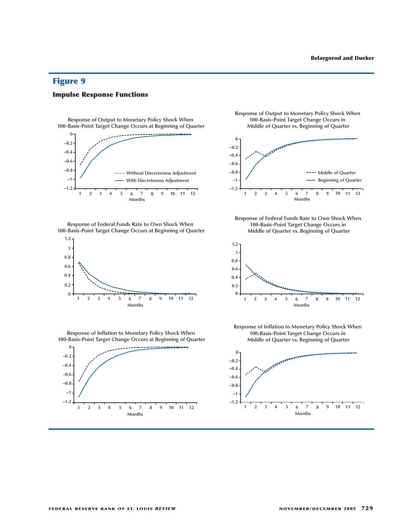**Impulse Response Functions**



**esponse of Output to Monetary Policy Shock When**  100-Basis-Point Target Change Occurs at Beginning of Quarter

**esponse of Federal Funds Rate to Own Shock Whe** 100-Basis-Point Target Change Occurs at Beginning of Quarter



**esponse of Output to Monetary Policy Shock When**  100-Basis-Point Target Change Occurs in **Middle of Quarter vs. Beginning of Quarter** 



**esponse of Federal Funds Rate to Own Shock Whe** 100-Basis-Point Target Change Occurs in **Middle of Quarter vs. Beginning of Quarter** 



**esponse of Inflation to Monetary Policy Shock When**  100-Basis-Point Target Change Occurs at Beginning of Quarter



**esponse of Inflation to Monetary Policy Shock When**  100-Basis-Point Target Change Occurs in **Middle of Quarter vs. Beginning of Quarter** 

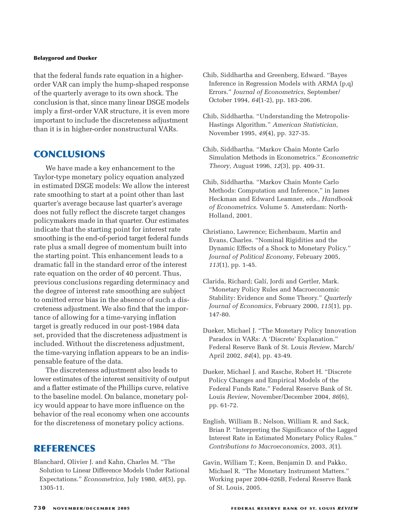that the federal funds rate equation in a higherorder VAR can imply the hump-shaped response of the quarterly average to its own shock. The conclusion is that, since many linear DSGE models imply a first-order VAR structure, it is even more important to include the discreteness adjustment than it is in higher-order nonstructural VARs.

## **CONCLUSIONS**

We have made a key enhancement to the Taylor-type monetary policy equation analyzed in estimated DSGE models: We allow the interest rate smoothing to start at a point other than last quarter's average because last quarter's average does not fully reflect the discrete target changes policymakers made in that quarter. Our estimates indicate that the starting point for interest rate smoothing is the end-of-period target federal funds rate plus a small degree of momentum built into the starting point. This enhancement leads to a dramatic fall in the standard error of the interest rate equation on the order of 40 percent. Thus, previous conclusions regarding determinacy and the degree of interest rate smoothing are subject to omitted error bias in the absence of such a discreteness adjustment. We also find that the importance of allowing for a time-varying inflation target is greatly reduced in our post-1984 data set, provided that the discreteness adjustment is included. Without the discreteness adjustment, the time-varying inflation appears to be an indispensable feature of the data.

The discreteness adjustment also leads to lower estimates of the interest sensitivity of output and a flatter estimate of the Phillips curve, relative to the baseline model. On balance, monetary policy would appear to have more influence on the behavior of the real economy when one accounts for the discreteness of monetary policy actions.

# **REFERENCES**

Blanchard, Olivier J. and Kahn, Charles M. "The Solution to Linear Difference Models Under Rational Expectations." *Econometrica*, July 1980, *48*(5), pp. 1305-11.

- Chib, Siddhartha and Greenberg, Edward. "Bayes Inference in Regression Models with ARMA (p,q) Errors." *Journal of Econometrics*, September/ October 1994, *64*(1-2), pp. 183-206.
- Chib, Siddhartha. "Understanding the Metropolis-Hastings Algorithm." *American Statistician*, November 1995, *49*(4), pp. 327-35.
- Chib, Siddhartha. "Markov Chain Monte Carlo Simulation Methods in Econometrics." *Econometric Theory*, August 1996, *12*(3), pp. 409-31.
- Chib, Siddhartha. "Markov Chain Monte Carlo Methods: Computation and Inference," in James Heckman and Edward Leamner, eds., *Handbook of Econometrics*. Volume 5. Amsterdam: North-Holland, 2001.
- Christiano, Lawrence; Eichenbaum, Martin and Evans, Charles. "Nominal Rigidities and the Dynamic Effects of a Shock to Monetary Policy." *Journal of Political Economy*, February 2005, *113*(1), pp. 1-45.
- Clarida, Richard; Galí, Jordi and Gertler, Mark. "Monetary Policy Rules and Macroeconomic Stability: Evidence and Some Theory." *Quarterly Journal of Economics*, February 2000, *115*(1), pp. 147-80.
- Dueker, Michael J. "The Monetary Policy Innovation Paradox in VARs: A 'Discrete' Explanation." Federal Reserve Bank of St. Louis *Review*, March/ April 2002, *84*(4), pp. 43-49.
- Dueker, Michael J. and Rasche, Robert H. "Discrete Policy Changes and Empirical Models of the Federal Funds Rate." Federal Reserve Bank of St. Louis *Review*, November/December 2004, *86*(6), pp. 61-72.
- English, William B.; Nelson, William R. and Sack, Brian P. "Interpreting the Significance of the Lagged Interest Rate in Estimated Monetary Policy Rules." *Contributions to Macroeconomics*, 2003, *3*(1).
- Gavin, William T.; Keen, Benjamin D. and Pakko, Michael R. "The Monetary Instrument Matters." Working paper 2004-026B, Federal Reserve Bank of St. Louis, 2005.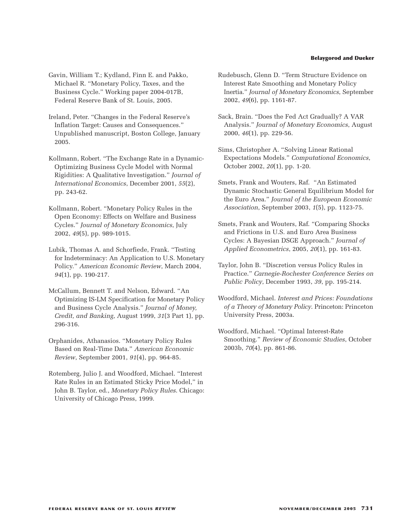- Gavin, William T.; Kydland, Finn E. and Pakko, Michael R. "Monetary Policy, Taxes, and the Business Cycle." Working paper 2004-017B, Federal Reserve Bank of St. Louis, 2005.
- Ireland, Peter. "Changes in the Federal Reserve's Inflation Target: Causes and Consequences." Unpublished manuscript, Boston College, January 2005.
- Kollmann, Robert. "The Exchange Rate in a Dynamic-Optimizing Business Cycle Model with Normal Rigidities: A Qualitative Investigation." *Journal of International Economics*, December 2001, *55*(2), pp. 243-62.
- Kollmann, Robert. "Monetary Policy Rules in the Open Economy: Effects on Welfare and Business Cycles." *Journal of Monetary Economics*, July 2002, *49*(5), pp. 989-1015.
- Lubik, Thomas A. and Schorfiede, Frank. "Testing for Indeterminacy: An Application to U.S. Monetary Policy." *American Economic Review*, March 2004, *94*(1), pp. 190-217.
- McCallum, Bennett T. and Nelson, Edward. "An Optimizing IS-LM Specification for Monetary Policy and Business Cycle Analysis." *Journal of Money, Credit, and Banking*, August 1999, *31*(3 Part 1), pp. 296-316.
- Orphanides, Athanasios. "Monetary Policy Rules Based on Real-Time Data." *American Economic Review*, September 2001, *91*(4), pp. 964-85.
- Rotemberg, Julio J. and Woodford, Michael. "Interest Rate Rules in an Estimated Sticky Price Model," in John B. Taylor, ed., *Monetary Policy Rules*. Chicago: University of Chicago Press, 1999.
- Rudebusch, Glenn D. "Term Structure Evidence on Interest Rate Smoothing and Monetary Policy Inertia." *Journal of Monetary Economics*, September 2002, *49*(6), pp. 1161-87.
- Sack, Brain. "Does the Fed Act Gradually? A VAR Analysis." *Journal of Monetary Economics*, August 2000, *46*(1), pp. 229-56.
- Sims, Christopher A. "Solving Linear Rational Expectations Models." *Computational Economics*, October 2002, *20*(1), pp. 1-20.
- Smets, Frank and Wouters, Raf. "An Estimated Dynamic Stochastic General Equilibrium Model for the Euro Area." *Journal of the European Economic Association*, September 2003, *1*(5), pp. 1123-75.
- Smets, Frank and Wouters, Raf. "Comparing Shocks and Frictions in U.S. and Euro Area Business Cycles: A Bayesian DSGE Approach." *Journal of Applied Econometrics*, 2005, *20*(1), pp. 161-83.
- Taylor, John B. "Discretion versus Policy Rules in Practice." *Carnegie-Rochester Conference Series on Public Policy*, December 1993, *39*, pp. 195-214.
- Woodford, Michael. *Interest and Prices: Foundations of a Theory of Monetary Policy*. Princeton: Princeton University Press, 2003a.
- Woodford, Michael. "Optimal Interest-Rate Smoothing." *Review of Economic Studies*, October 2003b, *70*(4), pp. 861-86.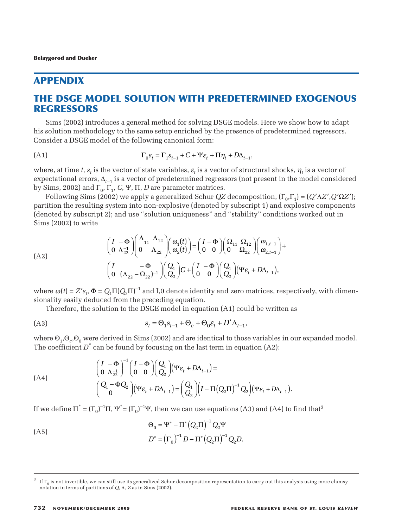## **APPENDIX**

# **THE DSGE MODEL SOLUTION WITH PREDETERMINED EXOGENOUS REGRESSORS**

Sims (2002) introduces a general method for solving DSGE models. Here we show how to adapt his solution methodology to the same setup enriched by the presence of predetermined regressors. Consider a DSGE model of the following canonical form: **LUTION WITH PREDETE**<br>
ral method for solving DSGE mode<br>
ame setup enriched by the presenc<br>
lowing canonical form:<br>  $\Gamma_0 s_t = \Gamma_1 s_{t-1} + C + \Psi \varepsilon_t + \Pi \eta_t + D \Delta_{t-1}$ <br>
state variables,  $\varepsilon_t$  is a vector of stru<br>
or of predeter

(A1) 
$$
\Gamma_0 s_t = \Gamma_1 s_{t-1} + C + \Psi \varepsilon_t + \Pi \eta_t + D \Delta_{t-1},
$$

where, at time *t*,  $s_t$  is the vector of state variables,  $\varepsilon_t$  is a vector of structural shocks,  $\eta_t$  is a vector of expectational errors, ∆*t*–1 is a vector of predetermined regressors (not present in the model considered by Sims, 2002) and  $Γ_0$ ,  $Γ_1$ ,  $C$ , Ψ,  $Π$ ,  $D$  are parameter matrices.

Following Sims (2002) we apply a generalized Schur *QZ* decomposition,  $[Γ_0, Γ_1] = (Q'ΛZ', Q'ΩZ')$ ; partition the resulting system into non-explosive (denoted by subscript 1) and explosive components (denoted by subscript 2); and use "solution uniqueness" and "stability" conditions worked out in Sims (2002) to write  $\begin{array}{ccc} \textbf{W} & \text{or} & \text{in} & \text{if} & \text{if} & \text{if} & \text{if} & \text{if} & \text{if} & \text{if} & \text{if} & \text{if} & \text{if} & \text{if} & \text{if} & \text{if} & \text{if} & \text{if} & \text{if} & \text{if} & \text{if} & \text{if} & \text{if} & \text{if} & \text{if} & \text{if} & \text{if} & \text{if} & \text{if} & \text{if} & \text{if} & \text{if} & \text{if} & \text{if} & \text{if} & \text$  ( ) **FREDETERMIN**<br>
ing DSGE models. Here<br>
by the presence of pre<br>
orm:<br>  $\epsilon_t + \Pi \eta_t + D \Delta_{t-1}$ ,<br>
a vector of structural s<br>
l regressors (not presen<br>
atrices.<br>
hur *QZ* decomposition<br>
noted by subscript 1) a<br>
ss" and "stability" **IIN**<br>Experience one<br>al slam<br>ion, ) and<br> $\lim_{t,t\to 1}$ 

**THE DSCE MODEL SOLUTION WITH PREDETERMINED  
\nREGRESSORS**  
\nSims (2002) introduces a general method for solving DSCE models. Here we is  
\nthis solution methodology to the same setup enriched by the presence of predator  
\nConsider a DSCE model of the following canonical form:  
\n(A1) 
$$
\Gamma_0 s_t = \Gamma_1 s_{t-1} + C + \Psi \epsilon_t + \Pi \eta_t + D \Delta_{t-1}
$$
,  
\nwhere, at time t, s, is the vector of state variables,  $\epsilon_t$  is a vector of structural shock  
\nexpectational errors,  $\Delta_{t-1}$  is a vector of predetermined regressors (not present in t  
\nby Sims, 2002) and  $\Gamma_0$ ,  $\Gamma_1$ ,  $C$ ,  $\Psi$ ,  $\Pi$ ,  $D$  are parameter matrices.  
\nFollowing Sims (2002) we apply a generalized Schur  $QZ$  decomposition, ( $\Gamma_0$ ,  
\npartition the resulting system into non-explosive (denoted by subscript 1) and ex  
\n(denoted by subscript 2); and use "solution uniqueness" and "stability" condition  
\n(Sims (2002) to write\n
$$
\begin{pmatrix}\nI & -\Phi \\
0 & \Delta_{12}\n\end{pmatrix}\n\begin{pmatrix}\n\Delta_{11} & \Delta_{12} \\
\Delta_{22} & \Delta_{22}\n\end{pmatrix}\n\begin{pmatrix}\n\Theta_{11} & \Theta \\
\Theta_{22}\n\end{pmatrix}\n\begin{pmatrix}\n\Theta_{11} & \Theta \\
\Theta_{22}\n\end{pmatrix}\n\begin{pmatrix}\n\Theta_{11} & -\Phi \\
\Theta_{22}\n\end{pmatrix}\n\begin{pmatrix}\n\Delta_{12} \\
\Delta_{21}\n\end{pmatrix}\n\begin{pmatrix}\n\Theta_{11} \\
\Theta_{22}\n\end{pmatrix}\n\begin{pmatrix}\n\Theta_{11} \\
\Theta_{22}\n\end{pmatrix}\n\begin{pmatrix}\n\Theta_{11} \\
\Theta_{22}\n\end{pmatrix}
$$
\nwhere  $\omega(t) = Z's_t$ ,  $\Phi = Q_t \Pi(Q_2 \Pi)^{-1}$  and I, 0 denote identity and zero matrices, resp  
\nsionality easily deduced from the preceding equation.  
\nTherefore, the solution to the DSGE model in equation (A1) could be written  
\n(A3)  $s_t = \Theta_1 s_{t-1} + \Theta_c + \Theta_0 \epsilon_t + D^* \Delta_{t-1}$ 

where  $\omega(t) = Z's_t$ ,  $\Phi = Q_1 \Pi (Q_2 \Pi)^{-1}$  and I,0 denote identity and zero matrices, respectively, with dimensionality easily deduced from the preceding equation.

Therefore, the solution to the DSGE model in equation (A1) could be written as

$$
(A3) \t\t\t s_t = \Theta_1 s_{t-1} + \Theta_c + \Theta_0 \varepsilon_t + D^* \Delta_{t-1},
$$

where  $\Theta_1$ , $\Theta_c$ , $\Theta_0$  were derived in Sims (2002) and are identical to those variables in our expanded model. The coefficient  $D^*$  can be found by focusing on the last term in equation (A2):

where 
$$
\Theta_1, \Theta_c, \Theta_0
$$
 were derived in Sims (2002) and are identical to those variables in c  
\nThe coefficient  $D^*$  can be found by focusing on the last term in equation (A2):  
\n
$$
\begin{pmatrix}\nI & -\Phi \\
0 & \Lambda_{22}^{-1}\n\end{pmatrix}^{-1}\n\begin{pmatrix}\nI - \Phi \\
0 & 0\n\end{pmatrix}\n\begin{pmatrix}\nQ_1 \\
Q_2\n\end{pmatrix}\n(\Psi \varepsilon_t + D\Delta_{t-1}) =
$$
\n(A4)  
\n
$$
\begin{pmatrix}\nQ_1 - \Phi Q_2 \\
0\n\end{pmatrix}\n(\Psi \varepsilon_t + D\Delta_{t-1}) =\n\begin{pmatrix}\nQ_1 \\
Q_2\n\end{pmatrix}\n\begin{pmatrix}\nI - \Pi (Q_2 \Pi)^{-1} Q_2\n\end{pmatrix}\n(\Psi \varepsilon_t + D\Delta_{t-1}).
$$
\nIf we define  $\Pi^* = (\Gamma_0)^{-1}\Pi$ ,  $\Psi^* = (\Gamma_0)^{-1}\Psi$ , then we can use equations (A3) and (A4) to  
\n
$$
\Theta_0 = \Psi^* - \Pi^* (Q_2 \Pi)^{-1} Q_2 \Psi
$$
\n(A5)  
\n
$$
D^* = (\Gamma_0)^{-1} D - \Pi^* (Q_2 \Pi)^{-1} Q_2 D.
$$

If we define  $\Pi^* = (\Gamma_0)^{-1}\Pi$ ,  $\Psi^* = (\Gamma_0)^{-1}\Psi$ , then we can use equations (A3) and (A4) to find that<sup>3</sup>

(A5)

\n
$$
\Theta_0 = \Psi^* - \Pi^* (Q_2 \Pi)^{-1} Q_2 \Psi
$$
\n
$$
D^* = (\Gamma_0)^{-1} D - \Pi^* (Q_2 \Pi)^{-1} Q_2 D
$$

If  $\Gamma_0$  is not invertible, we can still use its generalized Schur decomposition representation to carry out this analysis using more clumsy notation in terms of partitions of *Q*, Λ, *Z* as in Sims (2002).